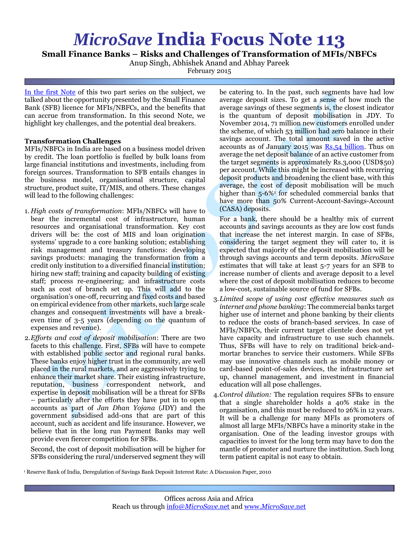## *MicroSave* **India Focus Note 113**

**Small Finance Banks – Risks and Challenges of Transformation of MFIs/NBFCs**

Anup Singh, Abhishek Anand and Abhay Pareek

February 2015

[In the first Note](http://www.microsave.net/files/pdf/IFN_112_Small_Banks_Opportunity_for_MFIs_and_NBFCs.pdf) of this two part series on the subject, we talked about the opportunity presented by the Small Finance Bank (SFB) licence for MFIs/NBFCs, and the benefits that can accrue from transformation. In this second Note, we highlight key challenges, and the potential deal breakers.

## **Transformation Challenges**

MFIs/NBFCs in India are based on a business model driven by credit. The loan portfolio is fuelled by bulk loans from large financial institutions and investments, including from foreign sources. Transformation to SFB entails changes in the business model, organisational structure, capital structure, product suite, IT/MIS, and others. These changes will lead to the following challenges:

- 1. *High costs of transformation*: MFIs/NBFCs will have to bear the incremental cost of infrastructure, human resources and organisational transformation. Key cost drivers will be: the cost of MIS and loan origination systems' upgrade to a core banking solution; establishing risk management and treasury functions: developing savings products: managing the transformation from a credit only institution to a diversified financial institution; hiring new staff; training and capacity building of existing staff; process re-engineering; and infrastructure costs such as cost of branch set up. This will add to the organisation's one-off, recurring and fixed costs and based on empirical evidence from other markets, such large scale changes and consequent investments will have a breakeven time of 3-5 years (depending on the quantum of expenses and revenue).
- 2.*Efforts and cost of deposit mobilisation*: There are two facets to this challenge. First, SFBs will have to compete with established public sector and regional rural banks. These banks enjoy higher trust in the community, are well placed in the rural markets, and are aggressively trying to enhance their market share. Their existing infrastructure, reputation, business correspondent network, and expertise in deposit mobilisation will be a threat for SFBs – particularly after the efforts they have put in to open accounts as part of *Jan Dhan Yojana* (JDY) and the government subsidised add-ons that are part of this account, such as accident and life insurance. However, we believe that in the long run Payment Banks may well provide even fiercer competition for SFBs.

Second, the cost of deposit mobilisation will be higher for SFBs considering the rural/underserved segment they will

be catering to. In the past, such segments have had low average deposit sizes. To get a sense of how much the average savings of these segments is, the closest indicator is the quantum of deposit mobilisation in JDY. To November 2014, 71 million new customers enrolled under the scheme, of which 53 million had zero balance in their savings account. The total amount saved in the active accounts as of January 2015 was Rs.54 [billion.](http://economictimes.indiatimes.com/news/politics-and-nation/74-accounts-in-jan-dhan-yojana-are-with-zero-balance/articleshow/45192065.cms) Thus on average the net deposit balance of an active customer from the target segments is approximately Rs.3,000 (USD\$50) per account. While this might be increased with recurring deposit products and broadening the client base, with this average, the cost of deposit mobilisation will be much higher than 5-6%<sup>1</sup> for scheduled commercial banks that have more than 50% Current-Account-Savings-Account (CASA) deposits.

For a bank, there should be a healthy mix of current accounts and savings accounts as they are low cost funds that increase the net interest margin. In case of SFBs, considering the target segment they will cater to, it is expected that majority of the deposit mobilisation will be through savings accounts and term deposits. *MicroSave* estimates that will take at least 5-7 years for an SFB to increase number of clients and average deposit to a level where the cost of deposit mobilisation reduces to become a low-cost, sustainable source of fund for SFBs.

- 3.*Limited scope of using cost effective measures such as internet and phone banking*: The commercial banks target higher use of internet and phone banking by their clients to reduce the costs of branch-based services. In case of MFIs/NBFCs, their current target clientele does not yet have capacity and infrastructure to use such channels. Thus, SFBs will have to rely on traditional brick-andmortar branches to service their customers. While SFBs may use innovative channels such as mobile money or card-based point-of-sales devices, the infrastructure set up, channel management, and investment in financial education will all pose challenges.
- 4.*Control dilution:* The regulation requires SFBs to ensure that a single shareholder holds a 40% stake in the organisation, and this must be reduced to 26% in 12 years. It will be a challenge for many MFIs as promoters of almost all large MFIs/NBFCs have a minority stake in the organisation. One of the leading investor groups with capacities to invest for the long term may have to don the mantle of promoter and nurture the institution. Such long term patient capital is not easy to obtain.
- <sup>1</sup> Reserve Bank of India, Deregulation of Savings Bank Deposit Interest Rate: A Discussion Paper, 2010